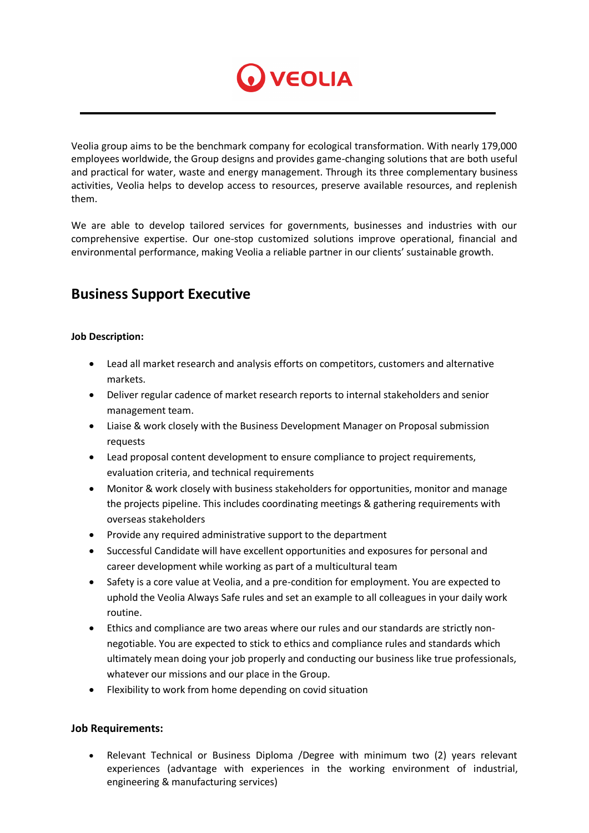

Veolia group aims to be the benchmark company for ecological transformation. With nearly 179,000 employees worldwide, the Group designs and provides game-changing solutions that are both useful and practical for water, waste and energy management. Through its three complementary business activities, Veolia helps to develop access to resources, preserve available resources, and replenish them.

We are able to develop tailored services for governments, businesses and industries with our comprehensive expertise. Our one-stop customized solutions improve operational, financial and environmental performance, making Veolia a reliable partner in our clients' sustainable growth.

## **Business Support Executive**

## **Job Description:**

- Lead all market research and analysis efforts on competitors, customers and alternative markets.
- Deliver regular cadence of market research reports to internal stakeholders and senior management team.
- Liaise & work closely with the Business Development Manager on Proposal submission requests
- Lead proposal content development to ensure compliance to project requirements, evaluation criteria, and technical requirements
- Monitor & work closely with business stakeholders for opportunities, monitor and manage the projects pipeline. This includes coordinating meetings & gathering requirements with overseas stakeholders
- Provide any required administrative support to the department
- Successful Candidate will have excellent opportunities and exposures for personal and career development while working as part of a multicultural team
- Safety is a core value at Veolia, and a pre-condition for employment. You are expected to uphold the Veolia Always Safe rules and set an example to all colleagues in your daily work routine.
- Ethics and compliance are two areas where our rules and our standards are strictly nonnegotiable. You are expected to stick to ethics and compliance rules and standards which ultimately mean doing your job properly and conducting our business like true professionals, whatever our missions and our place in the Group.
- Flexibility to work from home depending on covid situation

## **Job Requirements:**

 Relevant Technical or Business Diploma /Degree with minimum two (2) years relevant experiences (advantage with experiences in the working environment of industrial, engineering & manufacturing services)